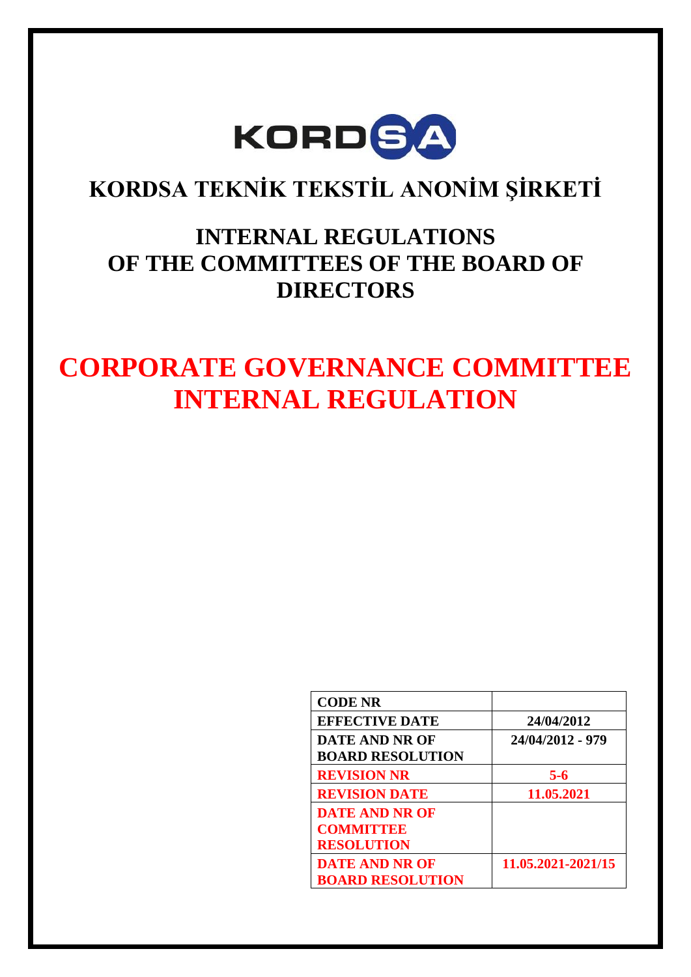

# **KORDSA TEKNİK TEKSTİL ANONİM ŞİRKETİ**

# **INTERNAL REGULATIONS OF THE COMMITTEES OF THE BOARD OF DIRECTORS**

# **CORPORATE GOVERNANCE COMMITTEE INTERNAL REGULATION**

| <b>CODE NR</b>          |                    |
|-------------------------|--------------------|
| <b>EFFECTIVE DATE</b>   | 24/04/2012         |
| <b>DATE AND NR OF</b>   | 24/04/2012 - 979   |
| <b>BOARD RESOLUTION</b> |                    |
| <b>REVISION NR</b>      | $5 - 6$            |
| <b>REVISION DATE</b>    | 11.05.2021         |
| <b>DATE AND NR OF</b>   |                    |
| <b>COMMITTEE</b>        |                    |
| <b>RESOLUTION</b>       |                    |
| <b>DATE AND NR OF</b>   | 11.05.2021-2021/15 |
| <b>BOARD RESOLUTION</b> |                    |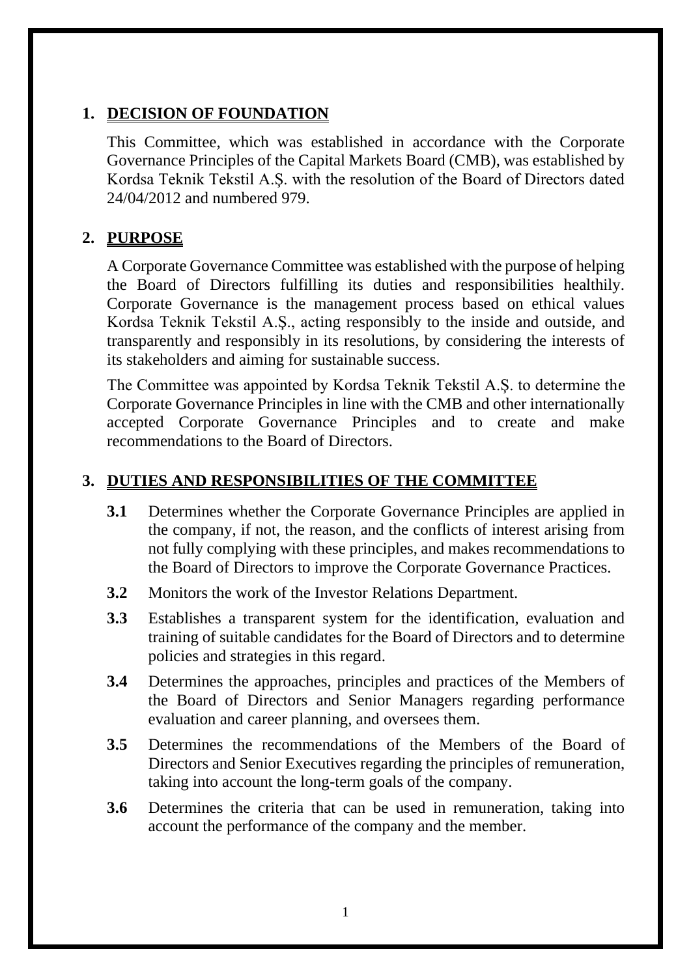#### **1. DECISION OF FOUNDATION**

This Committee, which was established in accordance with the Corporate Governance Principles of the Capital Markets Board (CMB), was established by Kordsa Teknik Tekstil A.Ş. with the resolution of the Board of Directors dated 24/04/2012 and numbered 979.

### **2. PURPOSE**

A Corporate Governance Committee was established with the purpose of helping the Board of Directors fulfilling its duties and responsibilities healthily. Corporate Governance is the management process based on ethical values Kordsa Teknik Tekstil A.Ş., acting responsibly to the inside and outside, and transparently and responsibly in its resolutions, by considering the interests of its stakeholders and aiming for sustainable success.

The Committee was appointed by Kordsa Teknik Tekstil A.Ş. to determine the Corporate Governance Principles in line with the CMB and other internationally accepted Corporate Governance Principles and to create and make recommendations to the Board of Directors.

#### **3. DUTIES AND RESPONSIBILITIES OF THE COMMITTEE**

- **3.1** Determines whether the Corporate Governance Principles are applied in the company, if not, the reason, and the conflicts of interest arising from not fully complying with these principles, and makes recommendations to the Board of Directors to improve the Corporate Governance Practices.
- **3.2** Monitors the work of the Investor Relations Department.
- **3.3** Establishes a transparent system for the identification, evaluation and training of suitable candidates for the Board of Directors and to determine policies and strategies in this regard.
- **3.4** Determines the approaches, principles and practices of the Members of the Board of Directors and Senior Managers regarding performance evaluation and career planning, and oversees them.
- **3.5** Determines the recommendations of the Members of the Board of Directors and Senior Executives regarding the principles of remuneration, taking into account the long-term goals of the company.
- **3.6** Determines the criteria that can be used in remuneration, taking into account the performance of the company and the member.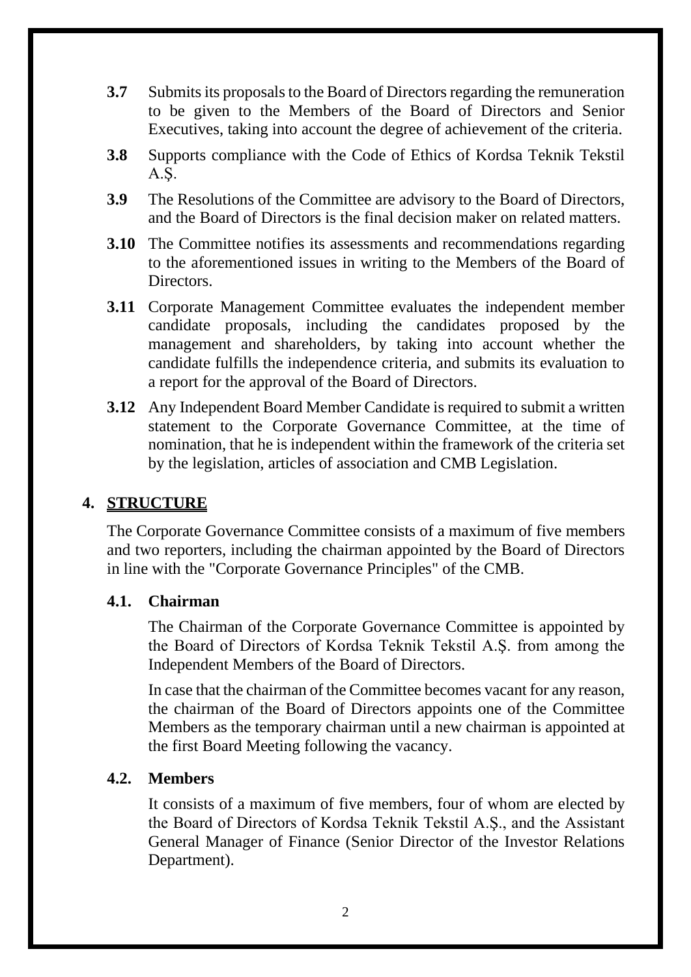- **3.7** Submits its proposals to the Board of Directors regarding the remuneration to be given to the Members of the Board of Directors and Senior Executives, taking into account the degree of achievement of the criteria.
- **3.8** Supports compliance with the Code of Ethics of Kordsa Teknik Tekstil A.Ş.
- **3.9** The Resolutions of the Committee are advisory to the Board of Directors, and the Board of Directors is the final decision maker on related matters.
- **3.10** The Committee notifies its assessments and recommendations regarding to the aforementioned issues in writing to the Members of the Board of Directors.
- **3.11** Corporate Management Committee evaluates the independent member candidate proposals, including the candidates proposed by the management and shareholders, by taking into account whether the candidate fulfills the independence criteria, and submits its evaluation to a report for the approval of the Board of Directors.
- **3.12** Any Independent Board Member Candidate is required to submit a written statement to the Corporate Governance Committee, at the time of nomination, that he is independent within the framework of the criteria set by the legislation, articles of association and CMB Legislation.

#### **4. STRUCTURE**

The Corporate Governance Committee consists of a maximum of five members and two reporters, including the chairman appointed by the Board of Directors in line with the "Corporate Governance Principles" of the CMB.

#### **4.1. Chairman**

The Chairman of the Corporate Governance Committee is appointed by the Board of Directors of Kordsa Teknik Tekstil A.Ş. from among the Independent Members of the Board of Directors.

In case that the chairman of the Committee becomes vacant for any reason, the chairman of the Board of Directors appoints one of the Committee Members as the temporary chairman until a new chairman is appointed at the first Board Meeting following the vacancy.

#### **4.2. Members**

 It consists of a maximum of five members, four of whom are elected by the Board of Directors of Kordsa Teknik Tekstil A.Ş., and the Assistant General Manager of Finance (Senior Director of the Investor Relations Department).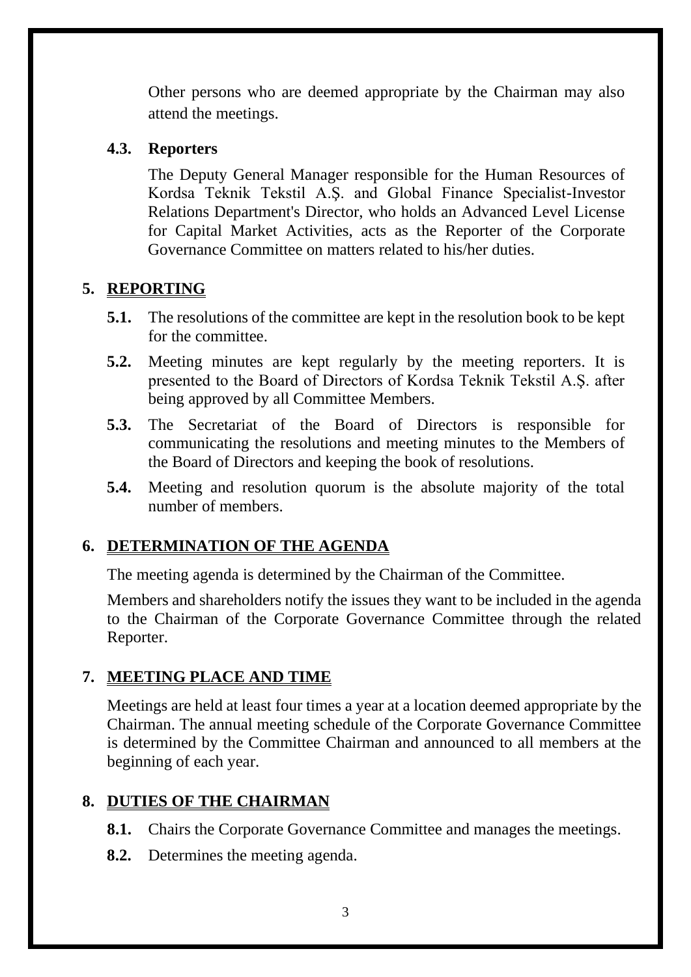Other persons who are deemed appropriate by the Chairman may also attend the meetings.

#### **4.3. Reporters**

The Deputy General Manager responsible for the Human Resources of Kordsa Teknik Tekstil A.Ş. and Global Finance Specialist-Investor Relations Department's Director, who holds an Advanced Level License for Capital Market Activities, acts as the Reporter of the Corporate Governance Committee on matters related to his/her duties.

### **5. REPORTING**

- **5.1.** The resolutions of the committee are kept in the resolution book to be kept for the committee.
- **5.2.** Meeting minutes are kept regularly by the meeting reporters. It is presented to the Board of Directors of Kordsa Teknik Tekstil A.Ş. after being approved by all Committee Members.
- **5.3.** The Secretariat of the Board of Directors is responsible for communicating the resolutions and meeting minutes to the Members of the Board of Directors and keeping the book of resolutions.
- **5.4.** Meeting and resolution quorum is the absolute majority of the total number of members.

#### **6. DETERMINATION OF THE AGENDA**

The meeting agenda is determined by the Chairman of the Committee.

Members and shareholders notify the issues they want to be included in the agenda to the Chairman of the Corporate Governance Committee through the related Reporter.

# **7. MEETING PLACE AND TIME**

Meetings are held at least four times a year at a location deemed appropriate by the Chairman. The annual meeting schedule of the Corporate Governance Committee is determined by the Committee Chairman and announced to all members at the beginning of each year.

# **8. DUTIES OF THE CHAIRMAN**

- **8.1.** Chairs the Corporate Governance Committee and manages the meetings.
- **8.2.** Determines the meeting agenda.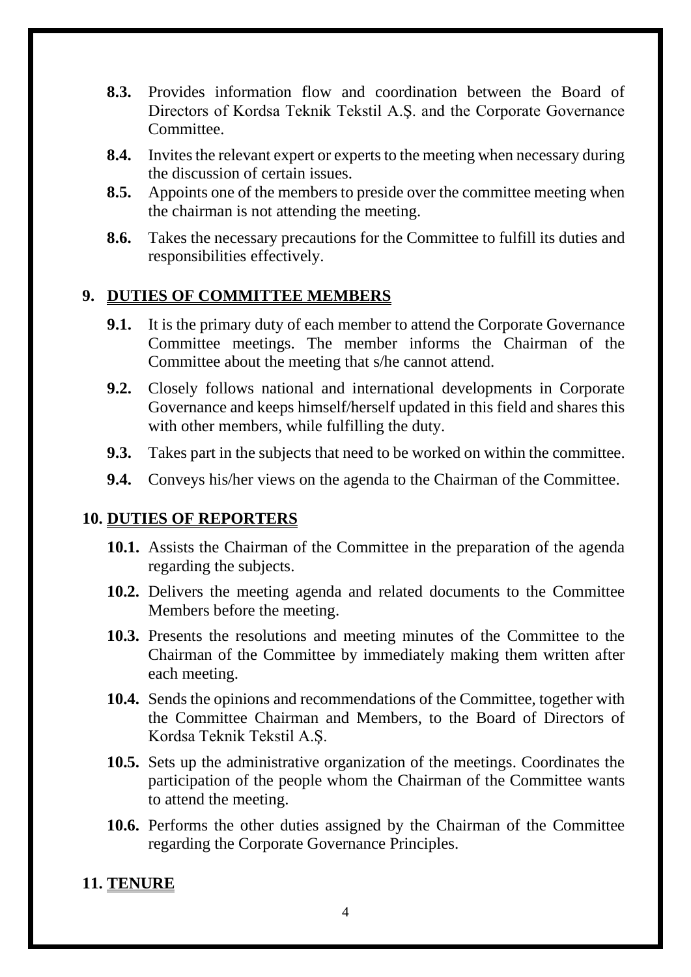- **8.3.** Provides information flow and coordination between the Board of Directors of Kordsa Teknik Tekstil A.Ş. and the Corporate Governance Committee.
- **8.4.** Invites the relevant expert or experts to the meeting when necessary during the discussion of certain issues.
- **8.5.** Appoints one of the members to preside over the committee meeting when the chairman is not attending the meeting.
- **8.6.** Takes the necessary precautions for the Committee to fulfill its duties and responsibilities effectively.

#### **9. DUTIES OF COMMITTEE MEMBERS**

- **9.1.** It is the primary duty of each member to attend the Corporate Governance Committee meetings. The member informs the Chairman of the Committee about the meeting that s/he cannot attend.
- **9.2.** Closely follows national and international developments in Corporate Governance and keeps himself/herself updated in this field and shares this with other members, while fulfilling the duty.
- **9.3.** Takes part in the subjects that need to be worked on within the committee.
- **9.4.** Conveys his/her views on the agenda to the Chairman of the Committee.

#### **10. DUTIES OF REPORTERS**

- **10.1.** Assists the Chairman of the Committee in the preparation of the agenda regarding the subjects.
- **10.2.** Delivers the meeting agenda and related documents to the Committee Members before the meeting.
- **10.3.** Presents the resolutions and meeting minutes of the Committee to the Chairman of the Committee by immediately making them written after each meeting.
- **10.4.** Sends the opinions and recommendations of the Committee, together with the Committee Chairman and Members, to the Board of Directors of Kordsa Teknik Tekstil A.Ş.
- **10.5.** Sets up the administrative organization of the meetings. Coordinates the participation of the people whom the Chairman of the Committee wants to attend the meeting.
- **10.6.** Performs the other duties assigned by the Chairman of the Committee regarding the Corporate Governance Principles.

#### **11. TENURE**